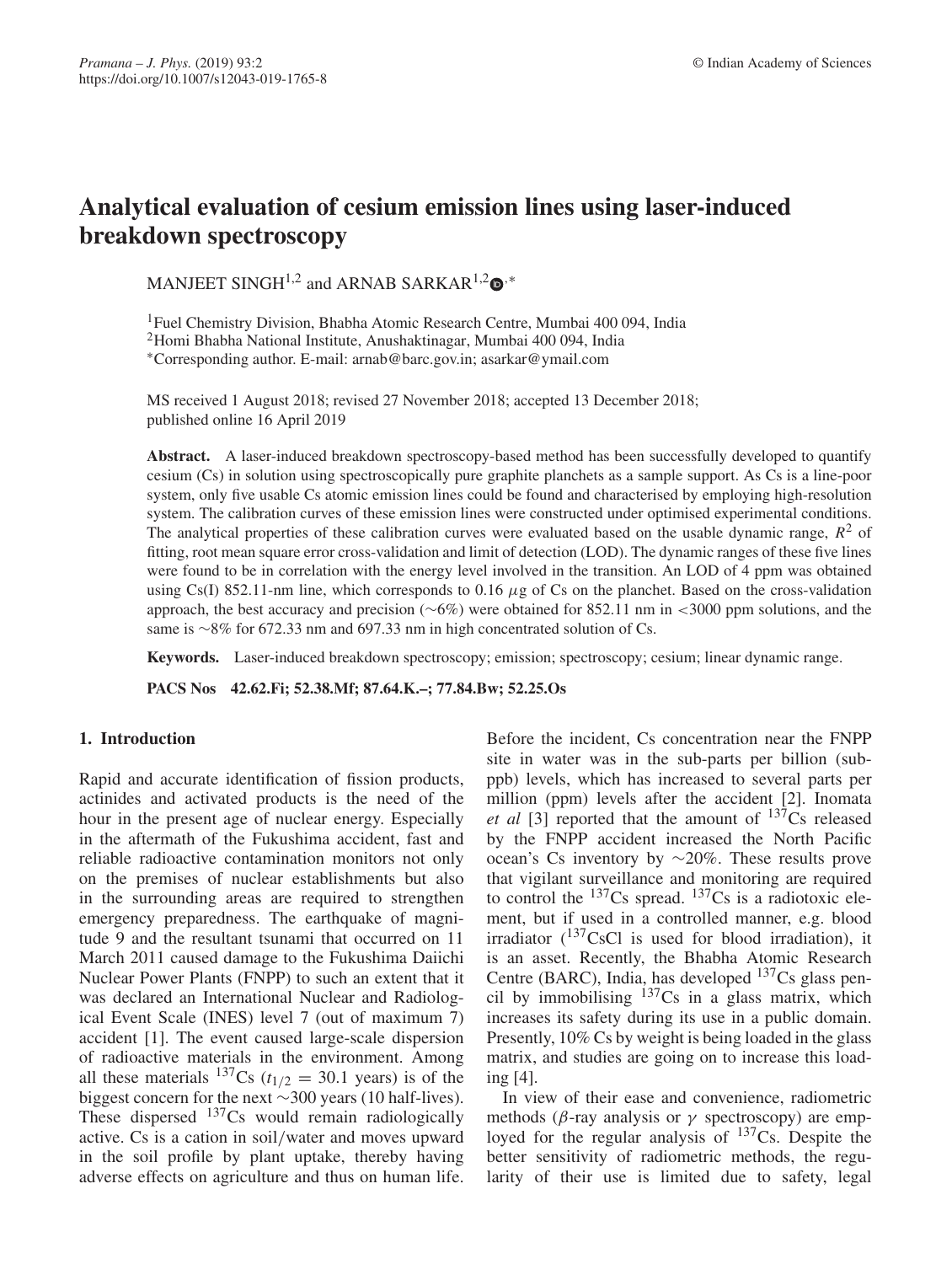# **Analytical evaluation of cesium emission lines using laser-induced breakdown spectroscopy**

MANJEET SINGH<sup>1,2</sup> and ARNAB SARKAR<sup>1,2</sup>  $\bullet$ <sup>,\*</sup>

<sup>1</sup>Fuel Chemistry Division, Bhabha Atomic Research Centre, Mumbai 400 094, India 2Homi Bhabha National Institute, Anushaktinagar, Mumbai 400 094, India ∗Corresponding author. E-mail: arnab@barc.gov.in; asarkar@ymail.com

MS received 1 August 2018; revised 27 November 2018; accepted 13 December 2018; published online 16 April 2019

Abstract. A laser-induced breakdown spectroscopy-based method has been successfully developed to quantify cesium (Cs) in solution using spectroscopically pure graphite planchets as a sample support. As Cs is a line-poor system, only five usable Cs atomic emission lines could be found and characterised by employing high-resolution system. The calibration curves of these emission lines were constructed under optimised experimental conditions. The analytical properties of these calibration curves were evaluated based on the usable dynamic range,  $R^2$  of fitting, root mean square error cross-validation and limit of detection (LOD). The dynamic ranges of these five lines were found to be in correlation with the energy level involved in the transition. An LOD of 4 ppm was obtained using Cs(I) 852.11-nm line, which corresponds to 0.16  $\mu$ g of Cs on the planchet. Based on the cross-validation approach, the best accuracy and precision (∼6%) were obtained for 852.11 nm in <3000 ppm solutions, and the same is ∼8% for 672.33 nm and 697.33 nm in high concentrated solution of Cs.

**Keywords.** Laser-induced breakdown spectroscopy; emission; spectroscopy; cesium; linear dynamic range.

**PACS Nos 42.62.Fi; 52.38.Mf; 87.64.K.–; 77.84.Bw; 52.25.Os**

# **1. Introduction**

Rapid and accurate identification of fission products, actinides and activated products is the need of the hour in the present age of nuclear energy. Especially in the aftermath of the Fukushima accident, fast and reliable radioactive contamination monitors not only on the premises of nuclear establishments but also in the surrounding areas are required to strengthen emergency preparedness. The earthquake of magnitude 9 and the resultant tsunami that occurred on 11 March 2011 caused damage to the Fukushima Daiichi Nuclear Power Plants (FNPP) to such an extent that it was declared an International Nuclear and Radiological Event Scale (INES) level 7 (out of maximum 7) accident [1]. The event caused large-scale dispersion of radioactive materials in the environment. Among all these materials  $^{137}Cs$  ( $t_{1/2} = 30.1$  years) is of the biggest concern for the next ∼300 years (10 half-lives). These dispersed <sup>137</sup>Cs would remain radiologically active. Cs is a cation in soil/water and moves upward in the soil profile by plant uptake, thereby having adverse effects on agriculture and thus on human life. Before the incident, Cs concentration near the FNPP site in water was in the sub-parts per billion (subppb) levels, which has increased to several parts per million (ppm) levels after the accident [2]. Inomata *et al* [3] reported that the amount of  $13\overline{7}$ Cs released by the FNPP accident increased the North Pacific ocean's Cs inventory by ∼20%. These results prove that vigilant surveillance and monitoring are required to control the  $^{137}Cs$  spread.  $^{137}Cs$  is a radiotoxic element, but if used in a controlled manner, e.g. blood irradiator  $(^{137}CsCl$  is used for blood irradiation), it is an asset. Recently, the Bhabha Atomic Research Centre (BARC), India, has developed 137Cs glass pencil by immobilising  $137Cs$  in a glass matrix, which increases its safety during its use in a public domain. Presently, 10% Cs by weight is being loaded in the glass matrix, and studies are going on to increase this loading [4].

In view of their ease and convenience, radiometric methods ( $\beta$ -ray analysis or  $\gamma$  spectroscopy) are employed for the regular analysis of  $137Cs$ . Despite the better sensitivity of radiometric methods, the regularity of their use is limited due to safety, legal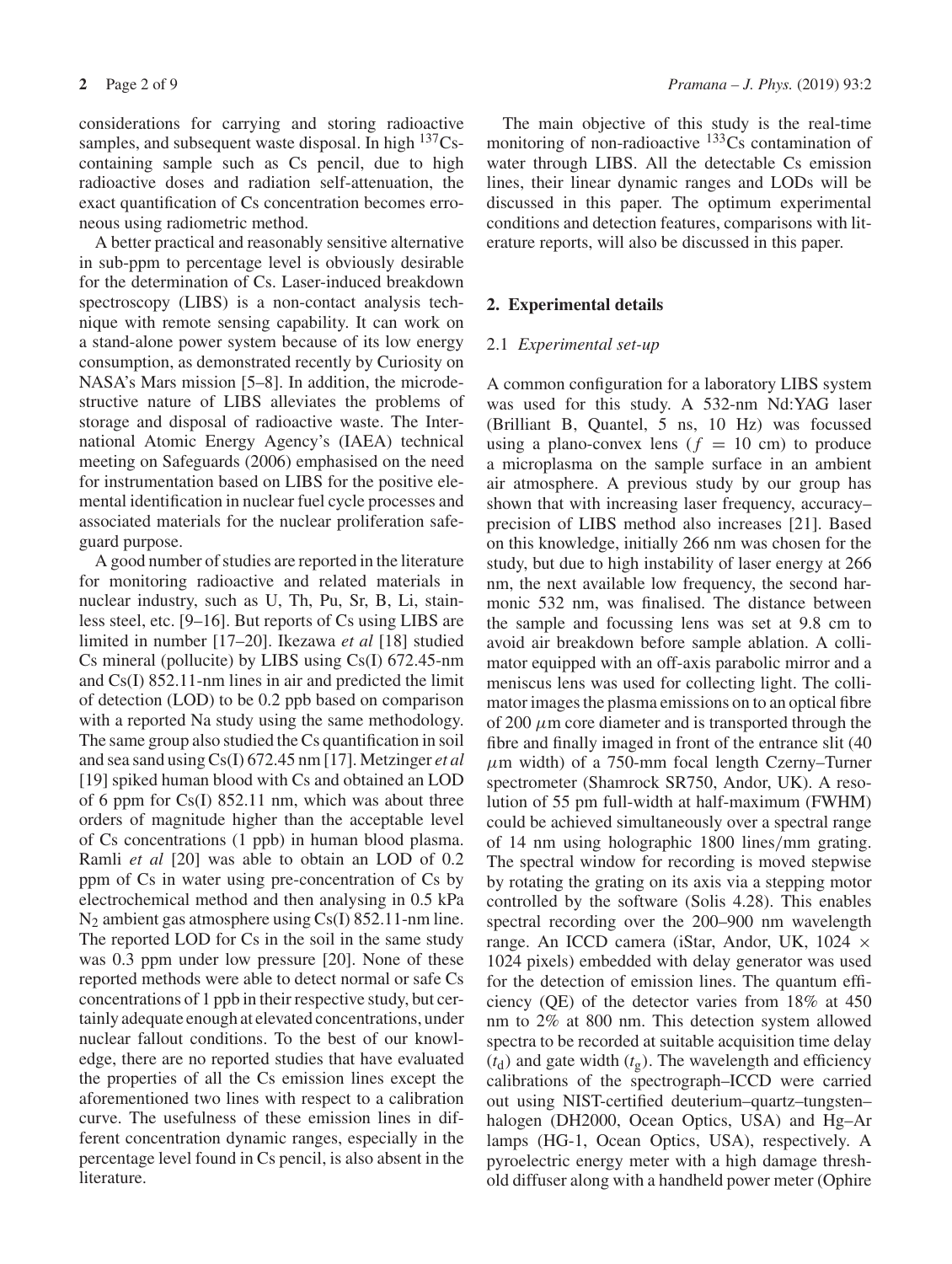considerations for carrying and storing radioactive samples, and subsequent waste disposal. In high  $137Cs$ containing sample such as Cs pencil, due to high radioactive doses and radiation self-attenuation, the exact quantification of Cs concentration becomes erroneous using radiometric method.

A better practical and reasonably sensitive alternative in sub-ppm to percentage level is obviously desirable for the determination of Cs. Laser-induced breakdown spectroscopy (LIBS) is a non-contact analysis technique with remote sensing capability. It can work on a stand-alone power system because of its low energy consumption, as demonstrated recently by Curiosity on NASA's Mars mission [5–8]. In addition, the microdestructive nature of LIBS alleviates the problems of storage and disposal of radioactive waste. The International Atomic Energy Agency's (IAEA) technical meeting on Safeguards (2006) emphasised on the need for instrumentation based on LIBS for the positive elemental identification in nuclear fuel cycle processes and associated materials for the nuclear proliferation safeguard purpose.

A good number of studies are reported in the literature for monitoring radioactive and related materials in nuclear industry, such as U, Th, Pu, Sr, B, Li, stainless steel, etc. [9–16]. But reports of Cs using LIBS are limited in number [17–20]. Ikezawa *et al* [18] studied Cs mineral (pollucite) by LIBS using Cs(I) 672.45-nm and Cs(I) 852.11-nm lines in air and predicted the limit of detection (LOD) to be 0.2 ppb based on comparison with a reported Na study using the same methodology. The same group also studied the Cs quantification in soil and sea sand using Cs(I) 672.45 nm [17]. Metzinger *et al* [19] spiked human blood with Cs and obtained an LOD of 6 ppm for Cs(I) 852.11 nm, which was about three orders of magnitude higher than the acceptable level of Cs concentrations (1 ppb) in human blood plasma. Ramli *et al* [20] was able to obtain an LOD of 0.2 ppm of Cs in water using pre-concentration of Cs by electrochemical method and then analysing in 0.5 kPa  $N_2$  ambient gas atmosphere using Cs(I) 852.11-nm line. The reported LOD for Cs in the soil in the same study was 0.3 ppm under low pressure [20]. None of these reported methods were able to detect normal or safe Cs concentrations of 1 ppb in their respective study, but certainly adequate enough at elevated concentrations, under nuclear fallout conditions. To the best of our knowledge, there are no reported studies that have evaluated the properties of all the Cs emission lines except the aforementioned two lines with respect to a calibration curve. The usefulness of these emission lines in different concentration dynamic ranges, especially in the percentage level found in Cs pencil, is also absent in the literature.

The main objective of this study is the real-time monitoring of non-radioactive  $133\text{Cs}$  contamination of water through LIBS. All the detectable Cs emission lines, their linear dynamic ranges and LODs will be discussed in this paper. The optimum experimental conditions and detection features, comparisons with literature reports, will also be discussed in this paper.

## **2. Experimental details**

## 2.1 *Experimental set-up*

A common configuration for a laboratory LIBS system was used for this study. A 532-nm Nd:YAG laser (Brilliant B, Quantel, 5 ns, 10 Hz) was focussed using a plano-convex lens  $(f = 10 \text{ cm})$  to produce a microplasma on the sample surface in an ambient air atmosphere. A previous study by our group has shown that with increasing laser frequency, accuracy– precision of LIBS method also increases [21]. Based on this knowledge, initially 266 nm was chosen for the study, but due to high instability of laser energy at 266 nm, the next available low frequency, the second harmonic 532 nm, was finalised. The distance between the sample and focussing lens was set at 9.8 cm to avoid air breakdown before sample ablation. A collimator equipped with an off-axis parabolic mirror and a meniscus lens was used for collecting light. The collimator images the plasma emissions on to an optical fibre of 200  $\mu$ m core diameter and is transported through the fibre and finally imaged in front of the entrance slit (40  $\mu$ m width) of a 750-mm focal length Czerny–Turner spectrometer (Shamrock SR750, Andor, UK). A resolution of 55 pm full-width at half-maximum (FWHM) could be achieved simultaneously over a spectral range of 14 nm using holographic 1800 lines/mm grating. The spectral window for recording is moved stepwise by rotating the grating on its axis via a stepping motor controlled by the software (Solis 4.28). This enables spectral recording over the 200–900 nm wavelength range. An ICCD camera (iStar, Andor, UK, 1024 × 1024 pixels) embedded with delay generator was used for the detection of emission lines. The quantum efficiency (QE) of the detector varies from 18% at 450 nm to 2% at 800 nm. This detection system allowed spectra to be recorded at suitable acquisition time delay  $(t_d)$  and gate width  $(t_g)$ . The wavelength and efficiency calibrations of the spectrograph–ICCD were carried out using NIST-certified deuterium–quartz–tungsten– halogen (DH2000, Ocean Optics, USA) and Hg–Ar lamps (HG-1, Ocean Optics, USA), respectively. A pyroelectric energy meter with a high damage threshold diffuser along with a handheld power meter (Ophire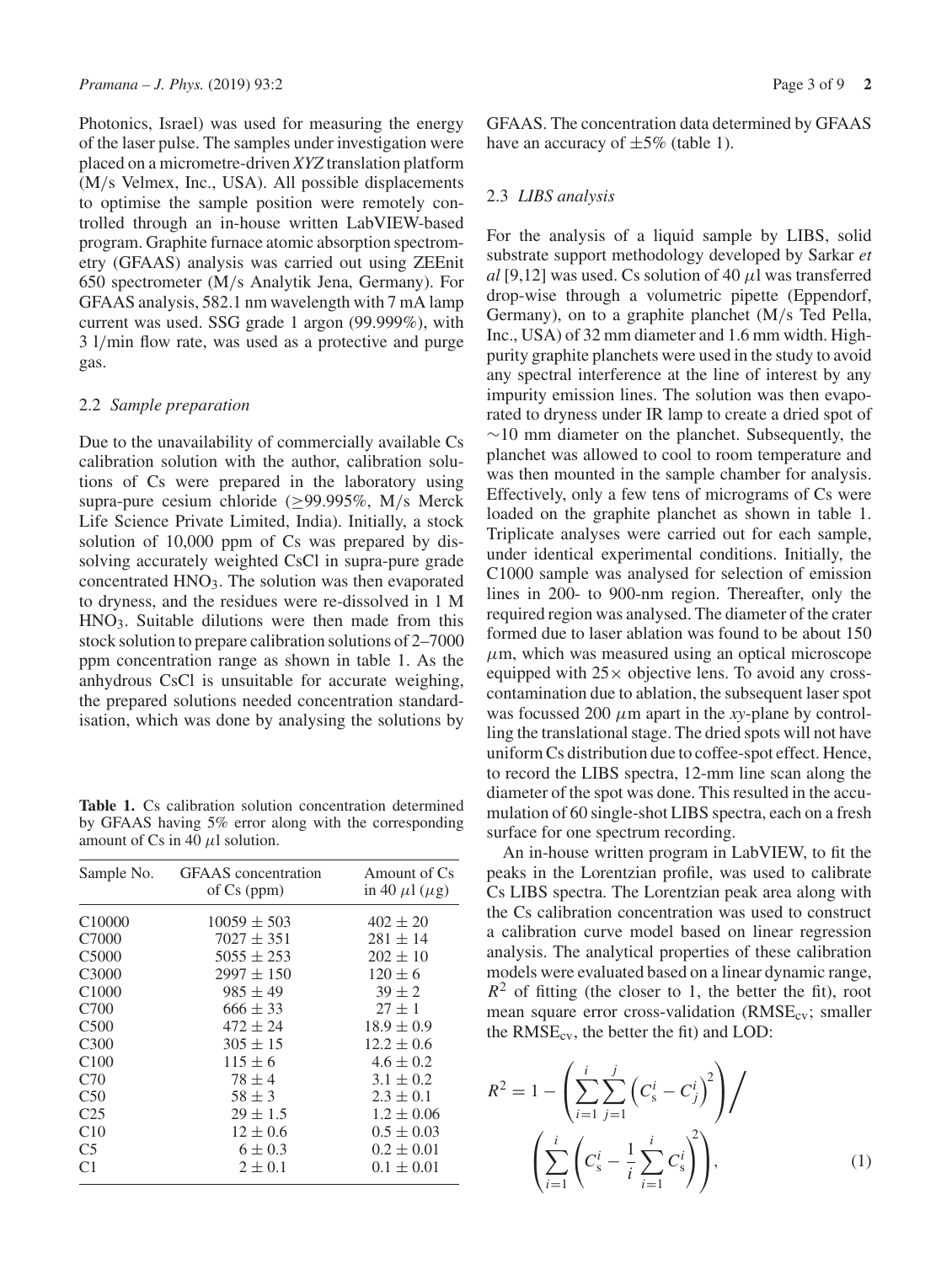Photonics, Israel) was used for measuring the energy of the laser pulse. The samples under investigation were placed on a micrometre-driven *XYZ* translation platform (M/s Velmex, Inc., USA). All possible displacements to optimise the sample position were remotely controlled through an in-house written LabVIEW-based program. Graphite furnace atomic absorption spectrometry (GFAAS) analysis was carried out using ZEEnit 650 spectrometer (M/s Analytik Jena, Germany). For GFAAS analysis, 582.1 nm wavelength with 7 mA lamp current was used. SSG grade 1 argon (99.999%), with 3 l/min flow rate, was used as a protective and purge gas.

## 2.2 *Sample preparation*

Due to the unavailability of commercially available Cs calibration solution with the author, calibration solutions of Cs were prepared in the laboratory using supra-pure cesium chloride ( $\geq$ 99.995%, M/s Merck Life Science Private Limited, India). Initially, a stock solution of 10,000 ppm of Cs was prepared by dissolving accurately weighted CsCl in supra-pure grade concentrated  $HNO<sub>3</sub>$ . The solution was then evaporated to dryness, and the residues were re-dissolved in 1 M HNO3. Suitable dilutions were then made from this stock solution to prepare calibration solutions of 2–7000 ppm concentration range as shown in table 1. As the anhydrous CsCl is unsuitable for accurate weighing, the prepared solutions needed concentration standardisation, which was done by analysing the solutions by

**Table 1.** Cs calibration solution concentration determined by GFAAS having 5% error along with the corresponding amount of Cs in 40  $\mu$ l solution.

| Sample No.         | <b>GFAAS</b> concentration<br>of Cs (ppm) | Amount of Cs<br>in 40 $\mu$ 1 ( $\mu$ g) |  |  |
|--------------------|-------------------------------------------|------------------------------------------|--|--|
| C <sub>10000</sub> | $10059 \pm 503$                           | $402 \pm 20$                             |  |  |
| C7000              | $7027 \pm 351$                            | $281 \pm 14$                             |  |  |
| C <sub>5000</sub>  | $5055 \pm 253$                            | $202 \pm 10$                             |  |  |
| C <sub>3000</sub>  | $2997 \pm 150$                            | $120 \pm 6$                              |  |  |
| C <sub>1000</sub>  | $985 \pm 49$                              | $39 \pm 2$                               |  |  |
| C700               | $666 \pm 33$                              | $27 \pm 1$                               |  |  |
| C <sub>500</sub>   | $472 \pm 24$                              | $18.9 \pm 0.9$                           |  |  |
| C <sub>3</sub> 00  | $305 \pm 15$                              | $12.2 \pm 0.6$                           |  |  |
| C <sub>100</sub>   | $115 \pm 6$                               | $4.6 \pm 0.2$                            |  |  |
| C70                | $78 \pm 4$                                | $3.1 \pm 0.2$                            |  |  |
| C <sub>50</sub>    | $58 \pm 3$                                | $2.3 \pm 0.1$                            |  |  |
| C <sub>25</sub>    | $29 \pm 1.5$                              | $1.2 \pm 0.06$                           |  |  |
| C10                | $12 \pm 0.6$                              | $0.5 \pm 0.03$                           |  |  |
| C <sub>5</sub>     | $6 \pm 0.3$                               | $0.2 \pm 0.01$                           |  |  |
| C <sub>1</sub>     | $2 \pm 0.1$                               | $0.1 \pm 0.01$                           |  |  |

GFAAS. The concentration data determined by GFAAS have an accuracy of  $\pm 5\%$  (table 1).

# 2.3 *LIBS analysis*

For the analysis of a liquid sample by LIBS, solid substrate support methodology developed by Sarkar *et*  $al$  [9,12] was used. Cs solution of 40  $\mu$ l was transferred drop-wise through a volumetric pipette (Eppendorf, Germany), on to a graphite planchet (M/s Ted Pella, Inc., USA) of 32 mm diameter and 1.6 mm width. Highpurity graphite planchets were used in the study to avoid any spectral interference at the line of interest by any impurity emission lines. The solution was then evaporated to dryness under IR lamp to create a dried spot of ∼10 mm diameter on the planchet. Subsequently, the planchet was allowed to cool to room temperature and was then mounted in the sample chamber for analysis. Effectively, only a few tens of micrograms of Cs were loaded on the graphite planchet as shown in table 1. Triplicate analyses were carried out for each sample, under identical experimental conditions. Initially, the C1000 sample was analysed for selection of emission lines in 200- to 900-nm region. Thereafter, only the required region was analysed. The diameter of the crater formed due to laser ablation was found to be about 150  $\mu$ m, which was measured using an optical microscope equipped with  $25\times$  objective lens. To avoid any crosscontamination due to ablation, the subsequent laser spot was focussed 200  $\mu$ m apart in the *xy*-plane by controlling the translational stage. The dried spots will not have uniform Cs distribution due to coffee-spot effect. Hence, to record the LIBS spectra, 12-mm line scan along the diameter of the spot was done. This resulted in the accumulation of 60 single-shot LIBS spectra, each on a fresh surface for one spectrum recording.

An in-house written program in LabVIEW, to fit the peaks in the Lorentzian profile, was used to calibrate Cs LIBS spectra. The Lorentzian peak area along with the Cs calibration concentration was used to construct a calibration curve model based on linear regression analysis. The analytical properties of these calibration models were evaluated based on a linear dynamic range,  $R<sup>2</sup>$  of fitting (the closer to 1, the better the fit), root mean square error cross-validation ( $RMSE_{cv}$ ; smaller the  $RMSE_{cv}$ , the better the fit) and LOD:

$$
R^{2} = 1 - \left(\sum_{i=1}^{i} \sum_{j=1}^{j} \left(C_{s}^{i} - C_{j}^{i}\right)^{2}\right) / \left(\sum_{i=1}^{i} \left(C_{s}^{i} - \frac{1}{i} \sum_{i=1}^{i} C_{s}^{i}\right)^{2}\right),
$$
\n(1)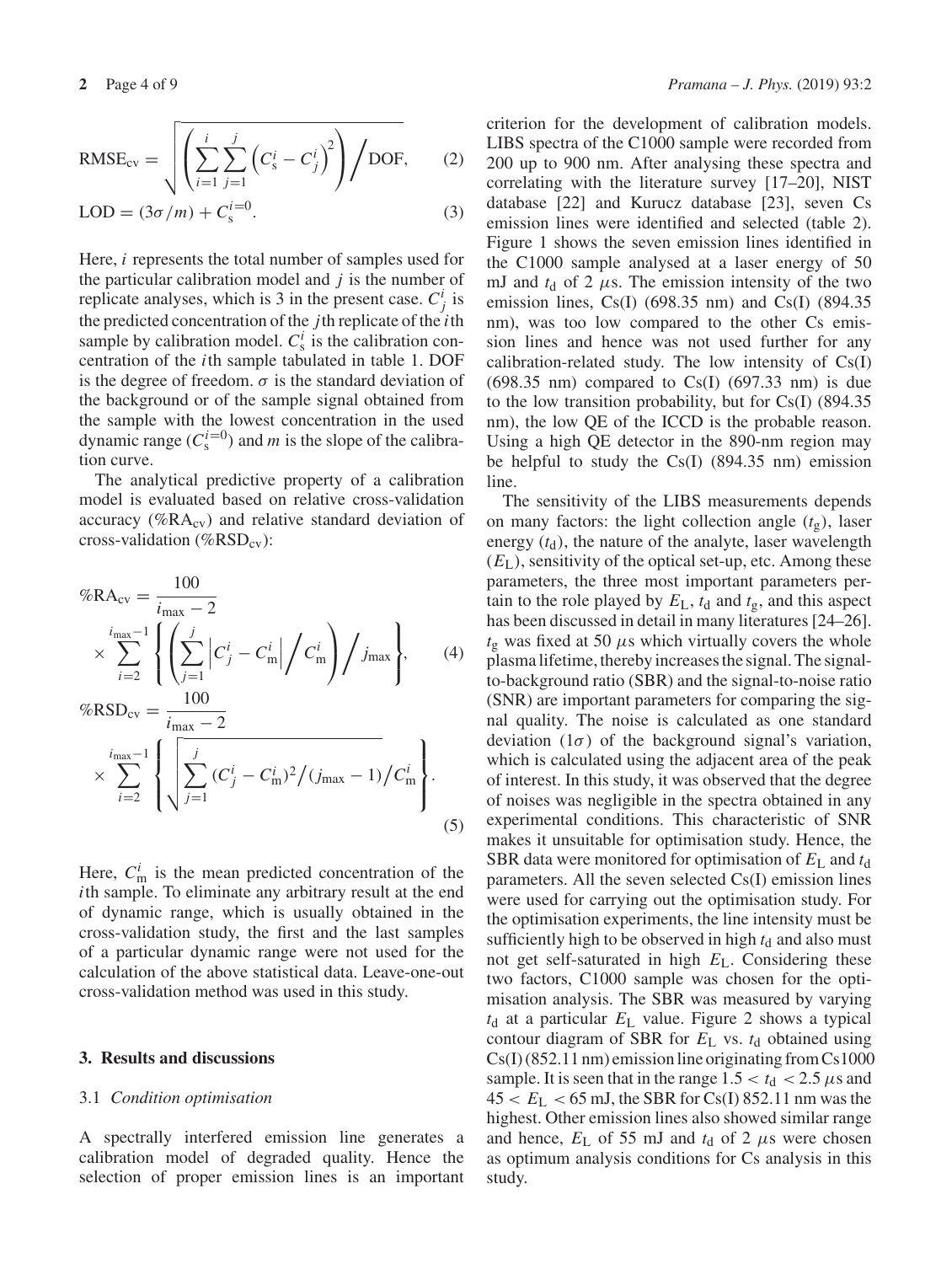$$
RMSE_{\text{cv}} = \sqrt{\left(\sum_{i=1}^{i} \sum_{j=1}^{j} \left(C_s^i - C_j^i\right)^2\right) / \text{DOF}},\qquad(2)
$$

$$
LOD = (3\sigma/m) + C_s^{i=0}.
$$
 (3)

Here, *i* represents the total number of samples used for the particular calibration model and *j* is the number of replicate analyses, which is 3 in the present case.  $C_j^i$  is the predicted concentration of the *j*th replicate of the *i*th sample by calibration model.  $C^i_s$  is the calibration concentration of the *i*th sample tabulated in table 1. DOF is the degree of freedom.  $\sigma$  is the standard deviation of the background or of the sample signal obtained from the sample with the lowest concentration in the used dynamic range  $(C_s^{i=0})$  and *m* is the slope of the calibration curve.

The analytical predictive property of a calibration model is evaluated based on relative cross-validation accuracy (% $RA_{cv}$ ) and relative standard deviation of cross-validation (%RSD<sub>cv</sub>):

$$
\%RA_{cv} = \frac{100}{i_{\text{max}} - 2}
$$
\n
$$
\times \sum_{i=2}^{i_{\text{max}} - 1} \left\{ \left( \sum_{j=1}^{j} \left| C_j^i - C_m^i \right| / C_m^i \right) / j_{\text{max}} \right\}, \qquad (4)
$$
\n
$$
\%RSD_{cv} = \frac{100}{i - 2}
$$

$$
\times \sum_{i=2}^{i_{\text{max}}-1} \left\{ \sqrt{\sum_{j=1}^{j} (C_j^i - C_{\text{m}}^i)^2 / (j_{\text{max}} - 1)} / C_{\text{m}}^i \right\}.
$$
\n(5)

Here,  $C_{\text{m}}^{i}$  is the mean predicted concentration of the *i*th sample. To eliminate any arbitrary result at the end of dynamic range, which is usually obtained in the cross-validation study, the first and the last samples of a particular dynamic range were not used for the calculation of the above statistical data. Leave-one-out cross-validation method was used in this study.

#### **3. Results and discussions**

#### 3.1 *Condition optimisation*

A spectrally interfered emission line generates a calibration model of degraded quality. Hence the selection of proper emission lines is an important criterion for the development of calibration models. LIBS spectra of the C1000 sample were recorded from 200 up to 900 nm. After analysing these spectra and correlating with the literature survey [17–20], NIST database [22] and Kurucz database [23], seven Cs emission lines were identified and selected (table 2). Figure 1 shows the seven emission lines identified in the C1000 sample analysed at a laser energy of 50 mJ and  $t_d$  of 2  $\mu$ s. The emission intensity of the two emission lines, Cs(I) (698.35 nm) and Cs(I) (894.35 nm), was too low compared to the other Cs emission lines and hence was not used further for any calibration-related study. The low intensity of Cs(I)  $(698.35 \text{ nm})$  compared to Cs(I)  $(697.33 \text{ nm})$  is due to the low transition probability, but for Cs(I) (894.35 nm), the low QE of the ICCD is the probable reason. Using a high QE detector in the 890-nm region may be helpful to study the Cs(I) (894.35 nm) emission line.

The sensitivity of the LIBS measurements depends on many factors: the light collection angle  $(t<sub>g</sub>)$ , laser energy  $(t_d)$ , the nature of the analyte, laser wavelength  $(E<sub>L</sub>)$ , sensitivity of the optical set-up, etc. Among these parameters, the three most important parameters pertain to the role played by  $E_L$ ,  $t_d$  and  $t_g$ , and this aspect has been discussed in detail in many literatures [24–26].  $t_{\rm g}$  was fixed at 50  $\mu$ s which virtually covers the whole plasma lifetime, thereby increases the signal. The signalto-background ratio (SBR) and the signal-to-noise ratio (SNR) are important parameters for comparing the signal quality. The noise is calculated as one standard deviation  $(1\sigma)$  of the background signal's variation, which is calculated using the adjacent area of the peak of interest. In this study, it was observed that the degree of noises was negligible in the spectra obtained in any experimental conditions. This characteristic of SNR makes it unsuitable for optimisation study. Hence, the SBR data were monitored for optimisation of *E*<sup>L</sup> and *t*<sup>d</sup> parameters. All the seven selected Cs(I) emission lines were used for carrying out the optimisation study. For the optimisation experiments, the line intensity must be sufficiently high to be observed in high  $t_d$  and also must not get self-saturated in high *E*L. Considering these two factors, C1000 sample was chosen for the optimisation analysis. The SBR was measured by varying  $t<sub>d</sub>$  at a particular  $E<sub>L</sub>$  value. Figure 2 shows a typical contour diagram of SBR for  $E<sub>L</sub>$  vs.  $t<sub>d</sub>$  obtained using Cs(I) (852.11 nm) emission line originating from Cs1000 sample. It is seen that in the range  $1.5 < t_d < 2.5 \mu s$  and  $45 < E_L < 65$  mJ, the SBR for Cs(I) 852.11 nm was the highest. Other emission lines also showed similar range and hence,  $E_{\rm L}$  of 55 mJ and  $t_{\rm d}$  of 2  $\mu$ s were chosen as optimum analysis conditions for Cs analysis in this study.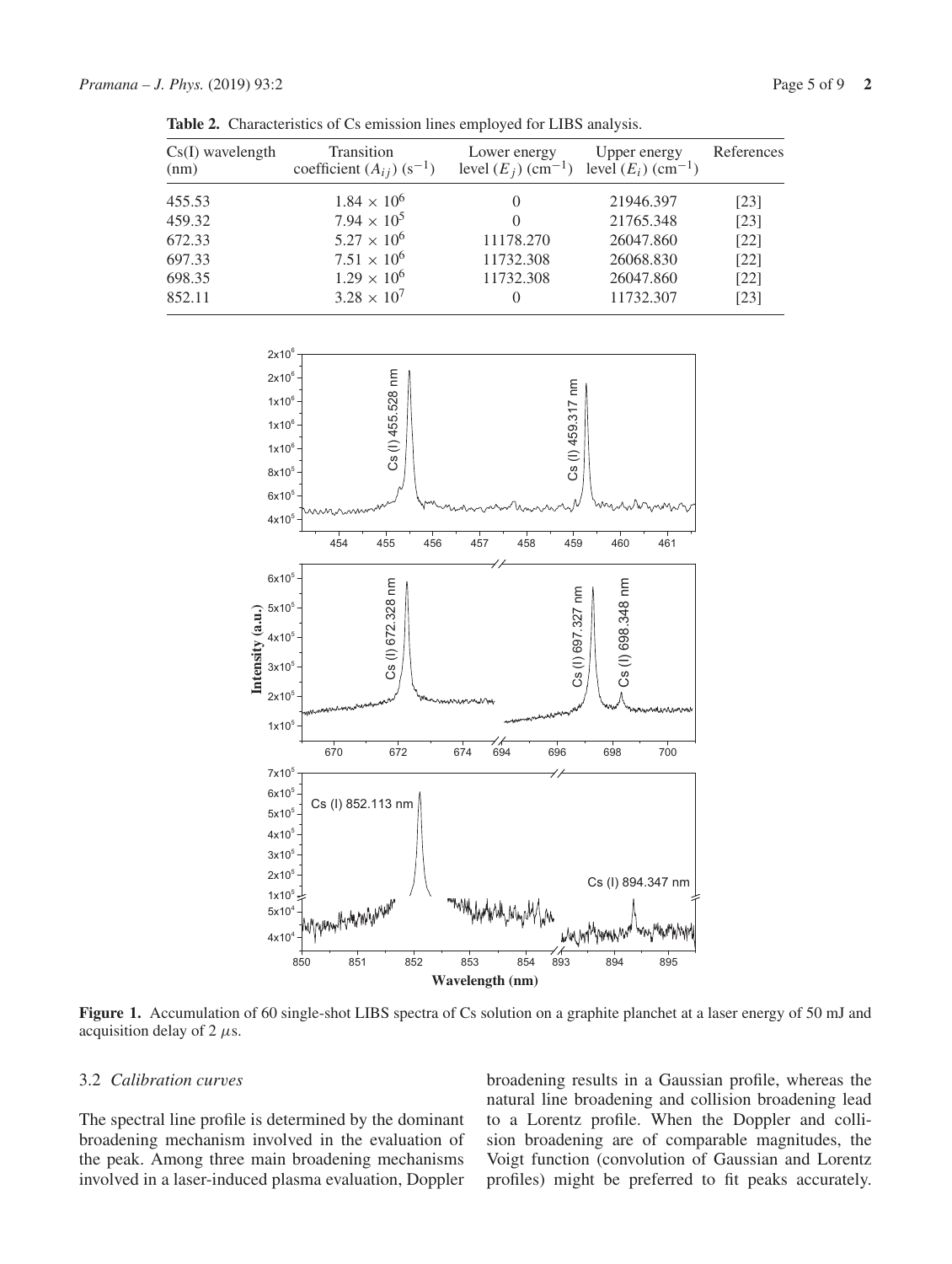| $Cs(I)$ wavelength<br>(nm) | Transition<br>coefficient $(A_{ij})$ (s <sup>-1</sup> ) | Lower energy<br>level $(E_i)$ (cm <sup>-1</sup> ) level $(E_i)$ (cm <sup>-1</sup> ) | Upper energy | References |  |
|----------------------------|---------------------------------------------------------|-------------------------------------------------------------------------------------|--------------|------------|--|
| 455.53                     | $1.84 \times 10^{6}$                                    |                                                                                     | 21946.397    | [23]       |  |
| 459.32                     | $7.94 \times 10^5$                                      |                                                                                     | 21765.348    | [23]       |  |
| 672.33                     | $5.27 \times 10^{6}$                                    | 11178.270                                                                           | 26047.860    | $[22]$     |  |
| 697.33                     | $7.51 \times 10^{6}$                                    | 11732.308                                                                           | 26068.830    | $[22]$     |  |
| 698.35                     | $1.29 \times 10^6$                                      | 11732.308                                                                           | 26047.860    | $[22]$     |  |
| 852.11                     | $3.28 \times 10^{7}$                                    | $\theta$                                                                            | 11732.307    | [23]       |  |

**Table 2.** Characteristics of Cs emission lines employed for LIBS analysis.



**Figure 1.** Accumulation of 60 single-shot LIBS spectra of Cs solution on a graphite planchet at a laser energy of 50 mJ and acquisition delay of 2  $\mu$ s.

## 3.2 *Calibration curves*

The spectral line profile is determined by the dominant broadening mechanism involved in the evaluation of the peak. Among three main broadening mechanisms involved in a laser-induced plasma evaluation, Doppler broadening results in a Gaussian profile, whereas the natural line broadening and collision broadening lead to a Lorentz profile. When the Doppler and collision broadening are of comparable magnitudes, the Voigt function (convolution of Gaussian and Lorentz profiles) might be preferred to fit peaks accurately.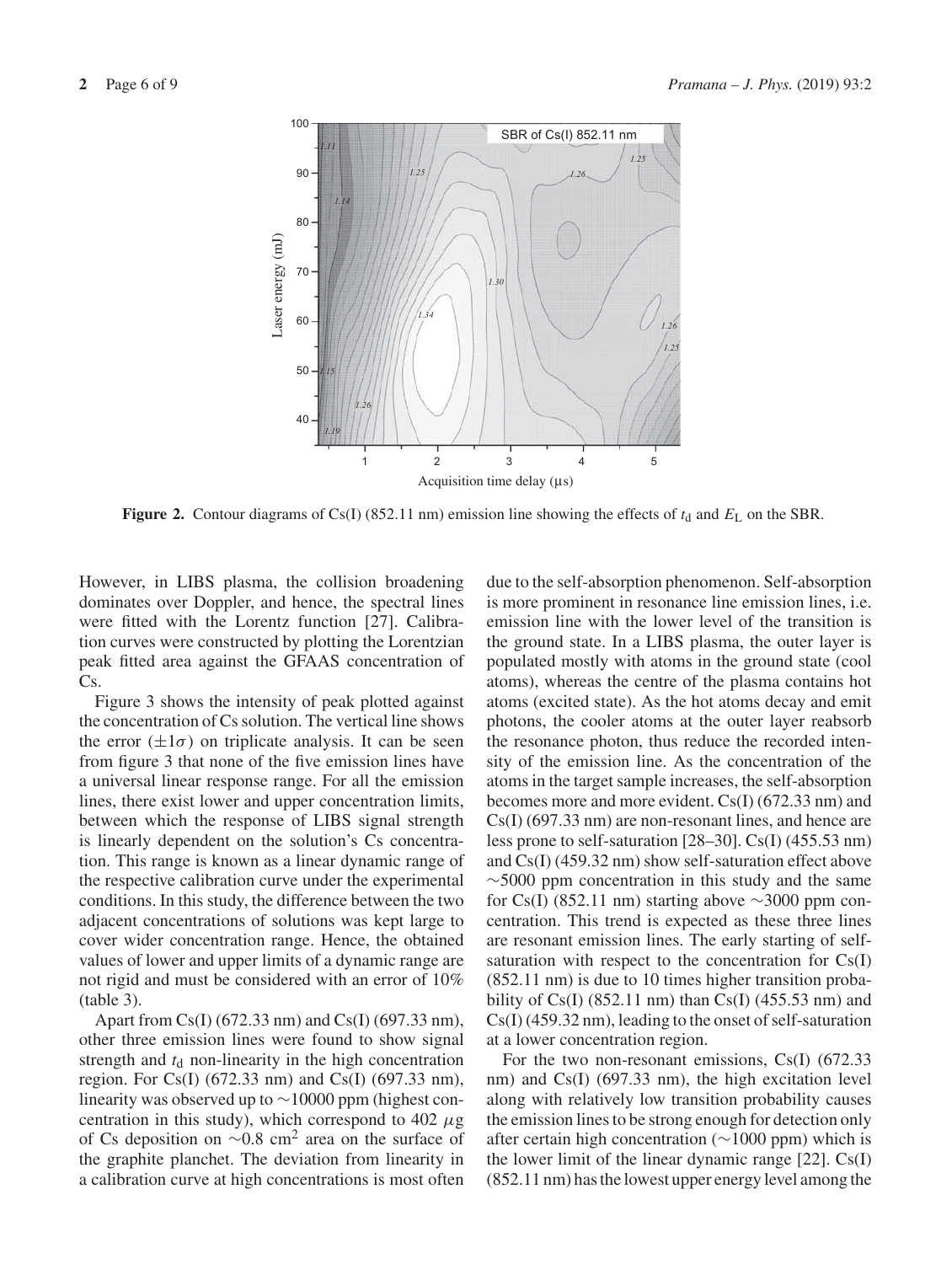

**Figure 2.** Contour diagrams of Cs(I) (852.11 nm) emission line showing the effects of  $t_d$  and  $E_L$  on the SBR.

However, in LIBS plasma, the collision broadening dominates over Doppler, and hence, the spectral lines were fitted with the Lorentz function [27]. Calibration curves were constructed by plotting the Lorentzian peak fitted area against the GFAAS concentration of Cs.

Figure 3 shows the intensity of peak plotted against the concentration of Cs solution. The vertical line shows the error  $(\pm 1\sigma)$  on triplicate analysis. It can be seen from figure 3 that none of the five emission lines have a universal linear response range. For all the emission lines, there exist lower and upper concentration limits, between which the response of LIBS signal strength is linearly dependent on the solution's Cs concentration. This range is known as a linear dynamic range of the respective calibration curve under the experimental conditions. In this study, the difference between the two adjacent concentrations of solutions was kept large to cover wider concentration range. Hence, the obtained values of lower and upper limits of a dynamic range are not rigid and must be considered with an error of 10% (table 3).

Apart from Cs(I) (672.33 nm) and Cs(I) (697.33 nm), other three emission lines were found to show signal strength and  $t<sub>d</sub>$  non-linearity in the high concentration region. For Cs(I) (672.33 nm) and Cs(I) (697.33 nm), linearity was observed up to ∼10000 ppm (highest concentration in this study), which correspond to 402  $\mu$ g of Cs deposition on  $\sim 0.8$  cm<sup>2</sup> area on the surface of the graphite planchet. The deviation from linearity in a calibration curve at high concentrations is most often due to the self-absorption phenomenon. Self-absorption is more prominent in resonance line emission lines, i.e. emission line with the lower level of the transition is the ground state. In a LIBS plasma, the outer layer is populated mostly with atoms in the ground state (cool atoms), whereas the centre of the plasma contains hot atoms (excited state). As the hot atoms decay and emit photons, the cooler atoms at the outer layer reabsorb the resonance photon, thus reduce the recorded intensity of the emission line. As the concentration of the atoms in the target sample increases, the self-absorption becomes more and more evident. Cs(I) (672.33 nm) and Cs(I) (697.33 nm) are non-resonant lines, and hence are less prone to self-saturation [28–30]. Cs(I) (455.53 nm) and Cs(I) (459.32 nm) show self-saturation effect above  $\sim$ 5000 ppm concentration in this study and the same for Cs(I) (852.11 nm) starting above  $\sim$ 3000 ppm concentration. This trend is expected as these three lines are resonant emission lines. The early starting of selfsaturation with respect to the concentration for Cs(I) (852.11 nm) is due to 10 times higher transition probability of Cs(I) (852.11 nm) than Cs(I) (455.53 nm) and Cs(I) (459.32 nm), leading to the onset of self-saturation at a lower concentration region.

For the two non-resonant emissions, Cs(I) (672.33 nm) and Cs(I) (697.33 nm), the high excitation level along with relatively low transition probability causes the emission lines to be strong enough for detection only after certain high concentration (∼1000 ppm) which is the lower limit of the linear dynamic range [22]. Cs(I) (852.11 nm) has the lowest upper energy level among the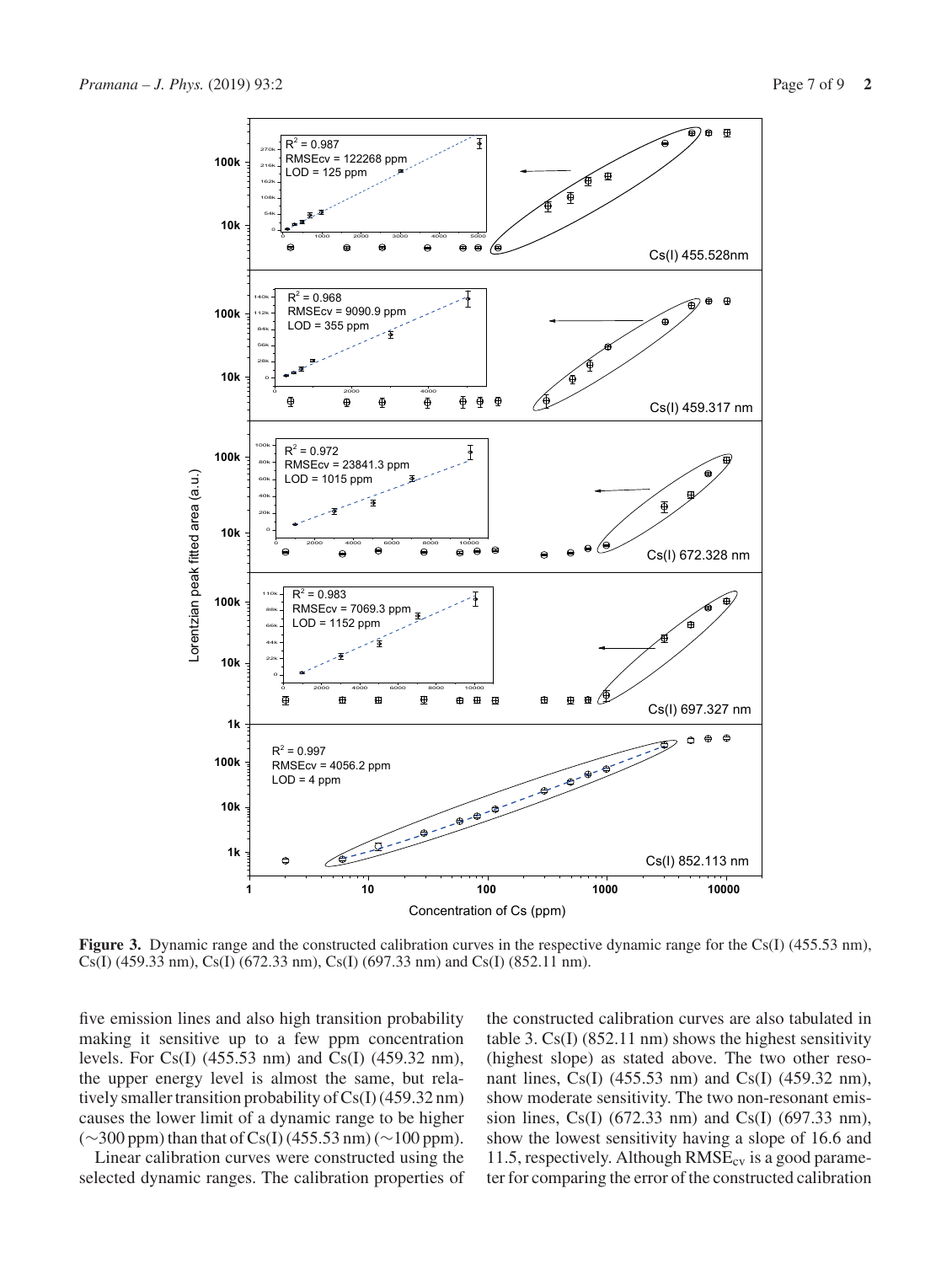

**Figure 3.** Dynamic range and the constructed calibration curves in the respective dynamic range for the Cs(I) (455.53 nm), Cs(I) (459.33 nm), Cs(I) (672.33 nm), Cs(I) (697.33 nm) and Cs(I) (852.11 nm).

five emission lines and also high transition probability making it sensitive up to a few ppm concentration levels. For Cs(I) (455.53 nm) and Cs(I) (459.32 nm), the upper energy level is almost the same, but relatively smaller transition probability of Cs(I) (459.32 nm) causes the lower limit of a dynamic range to be higher (∼300 ppm) than that of Cs(I) (455.53 nm) (∼100 ppm).

Linear calibration curves were constructed using the selected dynamic ranges. The calibration properties of the constructed calibration curves are also tabulated in table 3. Cs(I) (852.11 nm) shows the highest sensitivity (highest slope) as stated above. The two other resonant lines, Cs(I) (455.53 nm) and Cs(I) (459.32 nm), show moderate sensitivity. The two non-resonant emission lines, Cs(I) (672.33 nm) and Cs(I) (697.33 nm), show the lowest sensitivity having a slope of 16.6 and 11.5, respectively. Although  $RMSE_{cv}$  is a good parameter for comparing the error of the constructed calibration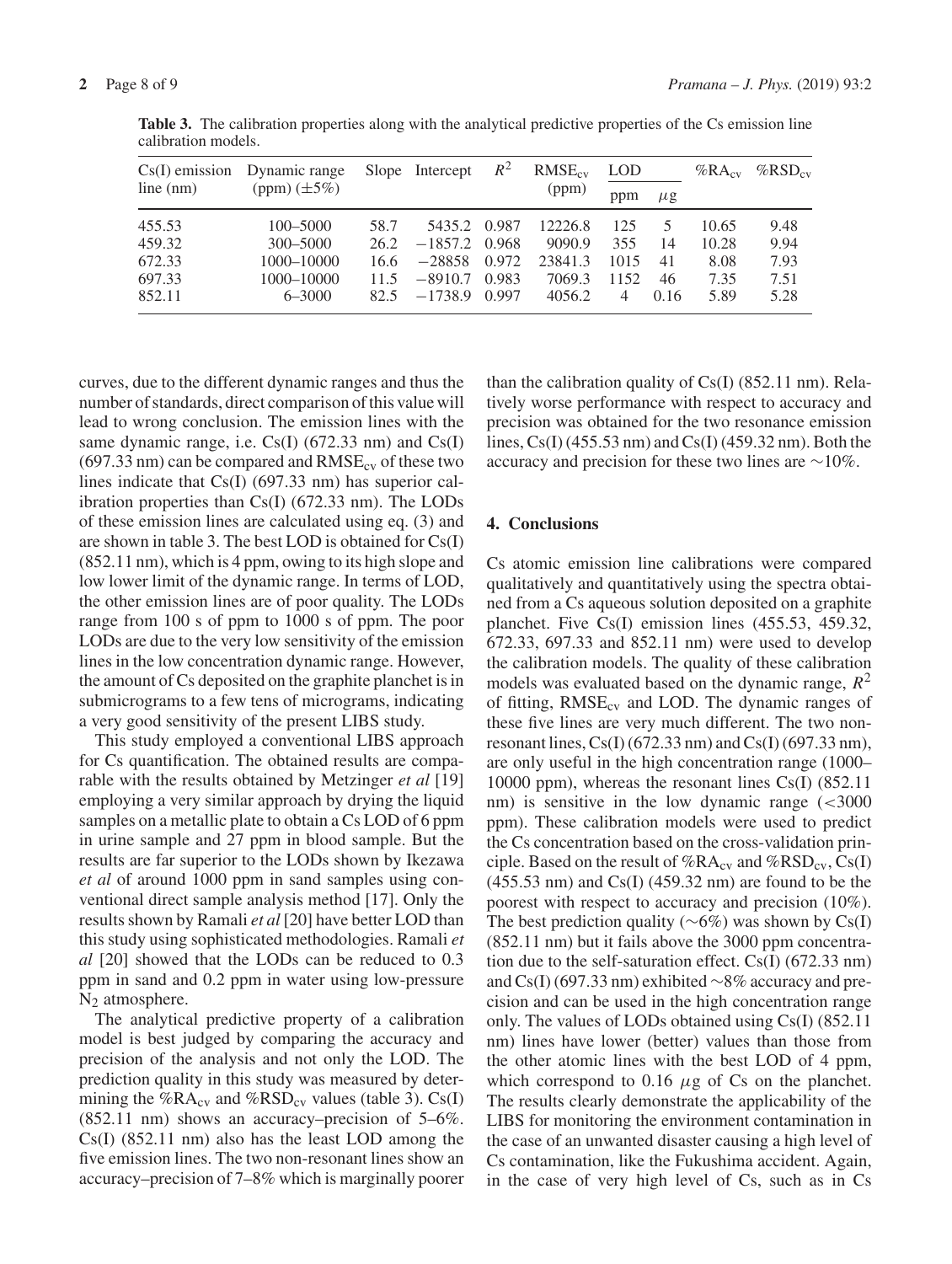|           | $Cs(I)$ emission Dynamic range<br>(ppm) $(\pm 5\%)$ |      | Slope Intercept | $R^2$ | $RMSE_{cv}$<br>(ppm) | <b>LOD</b>     |         | $%RA_{cv}$ | $%$ RSD <sub>cv</sub> |
|-----------|-----------------------------------------------------|------|-----------------|-------|----------------------|----------------|---------|------------|-----------------------|
| line (nm) |                                                     |      |                 |       |                      | ppm            | $\mu$ g |            |                       |
| 455.53    | $100 - 5000$                                        | 58.7 | 5435.2 0.987    |       | 12226.8              | 125            | 5       | 10.65      | 9.48                  |
| 459.32    | 300-5000                                            | 26.2 | $-1857.2$ 0.968 |       | 9090.9               | 355            | 14      | 10.28      | 9.94                  |
| 672.33    | 1000-10000                                          | 16.6 | $-28858$        | 0.972 | 23841.3              | 1015           | 41      | 8.08       | 7.93                  |
| 697.33    | 1000-10000                                          | 11.5 | $-8910.7$       | 0.983 | 7069.3               | 1152           | 46      | 7.35       | 7.51                  |
| 852.11    | $6 - 3000$                                          | 82.5 | $-1738.9$       | 0.997 | 4056.2               | $\overline{4}$ | 0.16    | 5.89       | 5.28                  |

**Table 3.** The calibration properties along with the analytical predictive properties of the Cs emission line calibration models.

curves, due to the different dynamic ranges and thus the number of standards, direct comparison of this value will lead to wrong conclusion. The emission lines with the same dynamic range, i.e. Cs(I) (672.33 nm) and Cs(I)  $(697.33 \text{ nm})$  can be compared and  $RMSE_{cy}$  of these two lines indicate that Cs(I) (697.33 nm) has superior calibration properties than Cs(I) (672.33 nm). The LODs of these emission lines are calculated using eq. (3) and are shown in table 3. The best LOD is obtained for Cs(I) (852.11 nm), which is 4 ppm, owing to its high slope and low lower limit of the dynamic range. In terms of LOD, the other emission lines are of poor quality. The LODs range from 100 s of ppm to 1000 s of ppm. The poor LODs are due to the very low sensitivity of the emission lines in the low concentration dynamic range. However, the amount of Cs deposited on the graphite planchet is in submicrograms to a few tens of micrograms, indicating a very good sensitivity of the present LIBS study.

This study employed a conventional LIBS approach for Cs quantification. The obtained results are comparable with the results obtained by Metzinger *et al* [19] employing a very similar approach by drying the liquid samples on a metallic plate to obtain a Cs LOD of 6 ppm in urine sample and 27 ppm in blood sample. But the results are far superior to the LODs shown by Ikezawa *et al* of around 1000 ppm in sand samples using conventional direct sample analysis method [17]. Only the results shown by Ramali *et al* [20] have better LOD than this study using sophisticated methodologies. Ramali *et al* [20] showed that the LODs can be reduced to 0.3 ppm in sand and 0.2 ppm in water using low-pressure  $N<sub>2</sub>$  atmosphere.

The analytical predictive property of a calibration model is best judged by comparing the accuracy and precision of the analysis and not only the LOD. The prediction quality in this study was measured by determining the % $R A_{\rm cv}$  and % $RSD_{\rm cv}$  values (table 3). Cs(I) (852.11 nm) shows an accuracy–precision of 5–6%. Cs(I) (852.11 nm) also has the least LOD among the five emission lines. The two non-resonant lines show an accuracy–precision of 7–8% which is marginally poorer than the calibration quality of  $Cs(I)$  (852.11 nm). Relatively worse performance with respect to accuracy and precision was obtained for the two resonance emission lines, Cs(I) (455.53 nm) and Cs(I) (459.32 nm). Both the accuracy and precision for these two lines are ∼10%.

# **4. Conclusions**

Cs atomic emission line calibrations were compared qualitatively and quantitatively using the spectra obtained from a Cs aqueous solution deposited on a graphite planchet. Five Cs(I) emission lines (455.53, 459.32, 672.33, 697.33 and 852.11 nm) were used to develop the calibration models. The quality of these calibration models was evaluated based on the dynamic range,  $R^2$ of fitting,  $RMSE_{cv}$  and LOD. The dynamic ranges of these five lines are very much different. The two nonresonant lines,  $Cs(I)$  (672.33 nm) and  $Cs(I)$  (697.33 nm), are only useful in the high concentration range (1000– 10000 ppm), whereas the resonant lines Cs(I) (852.11 nm) is sensitive in the low dynamic range  $\approx 3000$ ppm). These calibration models were used to predict the Cs concentration based on the cross-validation principle. Based on the result of  $%RA_{cv}$  and  $%RSD_{cv}$ , Cs(I) (455.53 nm) and Cs(I) (459.32 nm) are found to be the poorest with respect to accuracy and precision (10%). The best prediction quality ( $\sim 6\%$ ) was shown by Cs(I) (852.11 nm) but it fails above the 3000 ppm concentration due to the self-saturation effect. Cs(I) (672.33 nm) and Cs(I) (697.33 nm) exhibited ∼8% accuracy and precision and can be used in the high concentration range only. The values of LODs obtained using Cs(I) (852.11 nm) lines have lower (better) values than those from the other atomic lines with the best LOD of 4 ppm, which correspond to 0.16  $\mu$ g of Cs on the planchet. The results clearly demonstrate the applicability of the LIBS for monitoring the environment contamination in the case of an unwanted disaster causing a high level of Cs contamination, like the Fukushima accident. Again, in the case of very high level of Cs, such as in Cs